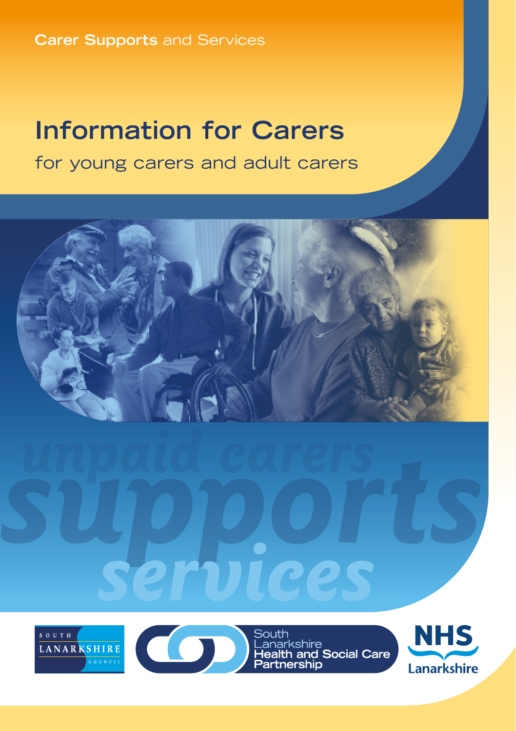**Carer Supports** and Services

# **Information for Carers**

for young carers and adult carers





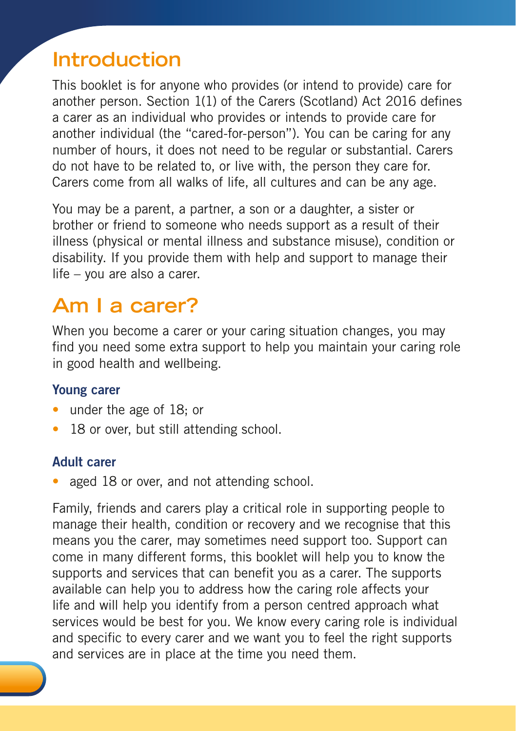## **Introduction**

This booklet is for anyone who provides (or intend to provide) care for another person. Section 1(1) of the Carers (Scotland) Act 2016 defines a carer as an individual who provides or intends to provide care for another individual (the "cared-for-person"). You can be caring for any number of hours, it does not need to be regular or substantial. Carers do not have to be related to, or live with, the person they care for. Carers come from all walks of life, all cultures and can be any age.

You may be a parent, a partner, a son or a daughter, a sister or brother or friend to someone who needs support as a result of their illness (physical or mental illness and substance misuse), condition or disability. If you provide them with help and support to manage their life – you are also a carer.

## **Am I a carer?**

When you become a carer or your caring situation changes, you may find you need some extra support to help you maintain your caring role in good health and wellbeing.

#### Young carer

- under the age of 18; or
- 18 or over, but still attending school.

#### Adult carer

aged 18 or over, and not attending school.

Family, friends and carers play a critical role in supporting people to manage their health, condition or recovery and we recognise that this means you the carer, may sometimes need support too. Support can come in many different forms, this booklet will help you to know the supports and services that can benefit you as a carer. The supports available can help you to address how the caring role affects your life and will help you identify from a person centred approach what services would be best for you. We know every caring role is individual and specific to every carer and we want you to feel the right supports and services are in place at the time you need them.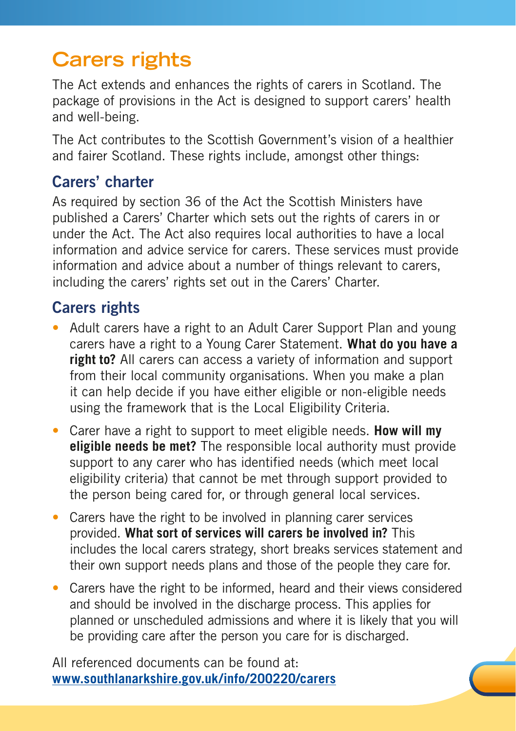# **Carers rights**

The Act extends and enhances the rights of carers in Scotland. The package of provisions in the Act is designed to support carers' health and well-being.

The Act contributes to the Scottish Government's vision of a healthier and fairer Scotland. These rights include, amongst other things:

### Carers' charter

As required by section 36 of the Act the Scottish Ministers have published a Carers' Charter which sets out the rights of carers in or under the Act. The Act also requires local authorities to have a local information and advice service for carers. These services must provide information and advice about a number of things relevant to carers, including the carers' rights set out in the Carers' Charter.

### Carers rights

- Adult carers have a right to an Adult Carer Support Plan and young carers have a right to a Young Carer Statement. **What do you have a right to?** All carers can access a variety of information and support from their local community organisations. When you make a plan it can help decide if you have either eligible or non-eligible needs using the framework that is the Local Eligibility Criteria.
- Carer have a right to support to meet eligible needs. **How will my eligible needs be met?** The responsible local authority must provide support to any carer who has identified needs (which meet local eligibility criteria) that cannot be met through support provided to the person being cared for, or through general local services.
- Carers have the right to be involved in planning carer services provided. **What sort of services will carers be involved in?** This includes the local carers strategy, short breaks services statement and their own support needs plans and those of the people they care for.
- Carers have the right to be informed, heard and their views considered and should be involved in the discharge process. This applies for planned or unscheduled admissions and where it is likely that you will be providing care after the person you care for is discharged.

All referenced documents can be found at: **[www.southlanarkshire.gov.uk/info/200220/carers](http://www.southlanarkshire.gov.uk/info/200220/carers)**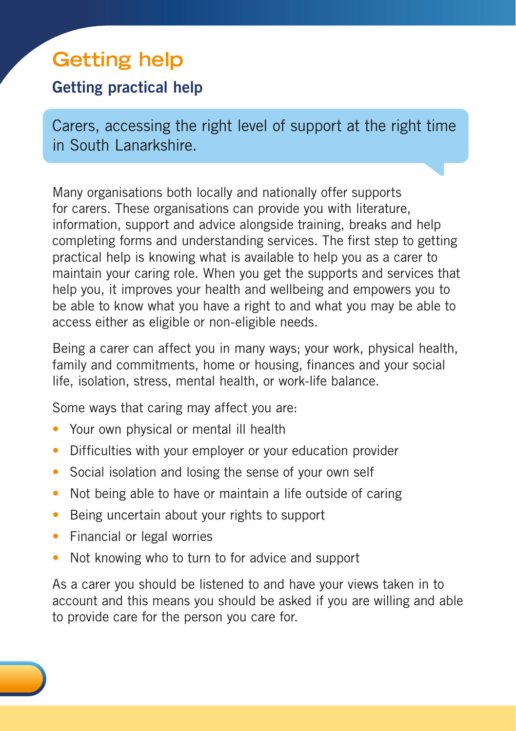# **Getting help**

### Getting practical help

Carers, accessing the right level of support at the right time in South Lanarkshire.

Many organisations both locally and nationally offer supports for carers. These organisations can provide you with literature, information, support and advice alongside training, breaks and help completing forms and understanding services. The first step to getting practical help is knowing what is available to help you as a carer to maintain your caring role. When you get the supports and services that help you, it improves your health and wellbeing and empowers you to be able to know what you have a right to and what you may be able to access either as eligible or non-eligible needs.

Being a carer can affect you in many ways; your work, physical health, family and commitments, home or housing, finances and your social life, isolation, stress, mental health, or work-life balance.

Some ways that caring may affect you are:

- Your own physical or mental ill health
- Difficulties with your employer or your education provider
- Social isolation and losing the sense of your own self
- Not being able to have or maintain a life outside of caring
- Being uncertain about your rights to support
- Financial or legal worries
- Not knowing who to turn to for advice and support

As a carer you should be listened to and have your views taken in to account and this means you should be asked if you are willing and able to provide care for the person you care for.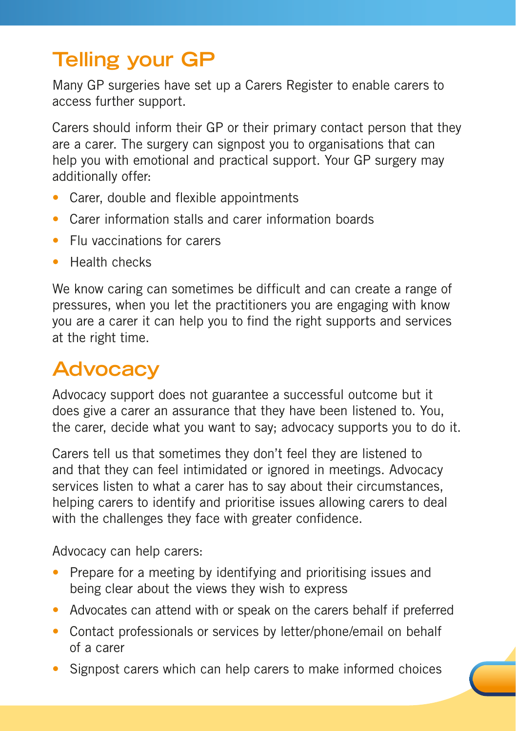# **Telling your GP**

Many GP surgeries have set up a Carers Register to enable carers to access further support.

Carers should inform their GP or their primary contact person that they are a carer. The surgery can signpost you to organisations that can help you with emotional and practical support. Your GP surgery may additionally offer:

- Carer, double and flexible appointments
- Carer information stalls and carer information boards
- Flu vaccinations for carers
- Health checks

We know caring can sometimes be difficult and can create a range of pressures, when you let the practitioners you are engaging with know you are a carer it can help you to find the right supports and services at the right time.

# **Advocacy**

Advocacy support does not guarantee a successful outcome but it does give a carer an assurance that they have been listened to. You, the carer, decide what you want to say; advocacy supports you to do it.

Carers tell us that sometimes they don't feel they are listened to and that they can feel intimidated or ignored in meetings. Advocacy services listen to what a carer has to say about their circumstances, helping carers to identify and prioritise issues allowing carers to deal with the challenges they face with greater confidence.

Advocacy can help carers:

- Prepare for a meeting by identifying and prioritising issues and being clear about the views they wish to express
- Advocates can attend with or speak on the carers behalf if preferred
- Contact professionals or services by letter/phone/email on behalf of a carer
- Signpost carers which can help carers to make informed choices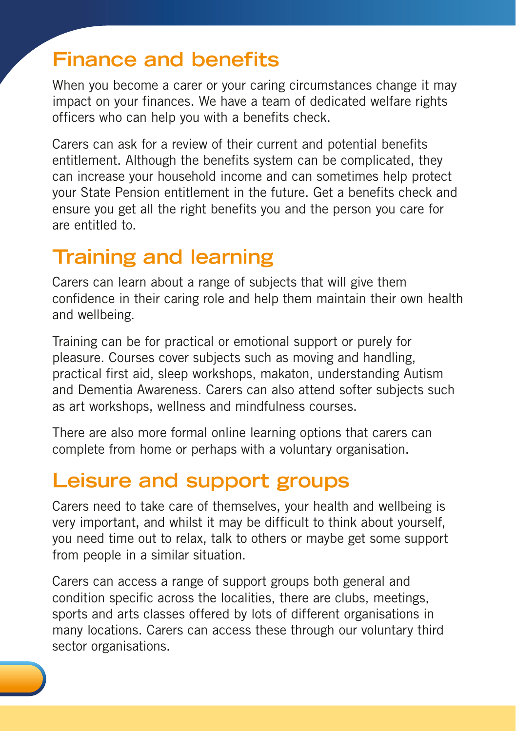## **Finance and benefits**

When you become a carer or your caring circumstances change it may impact on your finances. We have a team of dedicated welfare rights officers who can help you with a benefits check.

Carers can ask for a review of their current and potential benefits entitlement. Although the benefits system can be complicated, they can increase your household income and can sometimes help protect your State Pension entitlement in the future. Get a benefits check and ensure you get all the right benefits you and the person you care for are entitled to.

## **Training and learning**

Carers can learn about a range of subjects that will give them confidence in their caring role and help them maintain their own health and wellbeing.

Training can be for practical or emotional support or purely for pleasure. Courses cover subjects such as moving and handling, practical first aid, sleep workshops, makaton, understanding Autism and Dementia Awareness. Carers can also attend softer subjects such as art workshops, wellness and mindfulness courses.

There are also more formal online learning options that carers can complete from home or perhaps with a voluntary organisation.

## **Leisure and support groups**

Carers need to take care of themselves, your health and wellbeing is very important, and whilst it may be difficult to think about yourself, you need time out to relax, talk to others or maybe get some support from people in a similar situation.

Carers can access a range of support groups both general and condition specific across the localities, there are clubs, meetings, sports and arts classes offered by lots of different organisations in many locations. Carers can access these through our voluntary third sector organisations.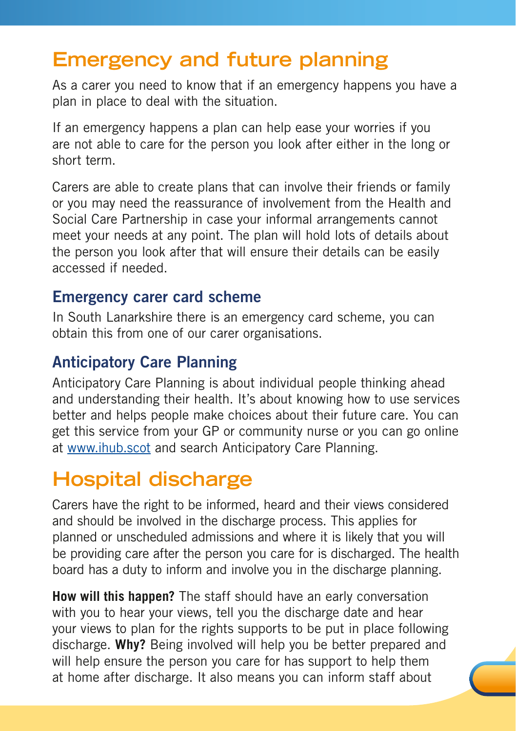## **Emergency and future planning**

As a carer you need to know that if an emergency happens you have a plan in place to deal with the situation.

If an emergency happens a plan can help ease your worries if you are not able to care for the person you look after either in the long or short term.

Carers are able to create plans that can involve their friends or family or you may need the reassurance of involvement from the Health and Social Care Partnership in case your informal arrangements cannot meet your needs at any point. The plan will hold lots of details about the person you look after that will ensure their details can be easily accessed if needed.

#### Emergency carer card scheme

In South Lanarkshire there is an emergency card scheme, you can obtain this from one of our carer organisations.

### Anticipatory Care Planning

Anticipatory Care Planning is about individual people thinking ahead and understanding their health. It's about knowing how to use services better and helps people make choices about their future care. You can get this service from your GP or community nurse or you can go online at [www.ihub.scot](http://www.ihub.scot) and search Anticipatory Care Planning.

# **Hospital discharge**

Carers have the right to be informed, heard and their views considered and should be involved in the discharge process. This applies for planned or unscheduled admissions and where it is likely that you will be providing care after the person you care for is discharged. The health board has a duty to inform and involve you in the discharge planning.

**How will this happen?** The staff should have an early conversation with you to hear your views, tell you the discharge date and hear your views to plan for the rights supports to be put in place following discharge. **Why?** Being involved will help you be better prepared and will help ensure the person you care for has support to help them at home after discharge. It also means you can inform staff about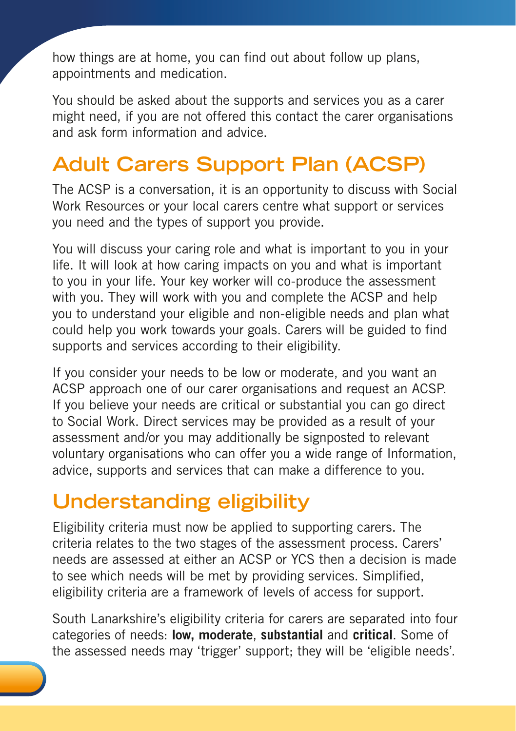how things are at home, you can find out about follow up plans, appointments and medication.

You should be asked about the supports and services you as a carer might need, if you are not offered this contact the carer organisations and ask form information and advice.

# **Adult Carers Support Plan (ACSP)**

The ACSP is a conversation, it is an opportunity to discuss with Social Work Resources or your local carers centre what support or services you need and the types of support you provide.

You will discuss your caring role and what is important to you in your life. It will look at how caring impacts on you and what is important to you in your life. Your key worker will co-produce the assessment with you. They will work with you and complete the ACSP and help you to understand your eligible and non-eligible needs and plan what could help you work towards your goals. Carers will be guided to find supports and services according to their eligibility.

If you consider your needs to be low or moderate, and you want an ACSP approach one of our carer organisations and request an ACSP. If you believe your needs are critical or substantial you can go direct to Social Work. Direct services may be provided as a result of your assessment and/or you may additionally be signposted to relevant voluntary organisations who can offer you a wide range of Information, advice, supports and services that can make a difference to you.

# **Understanding eligibility**

Eligibility criteria must now be applied to supporting carers. The criteria relates to the two stages of the assessment process. Carers' needs are assessed at either an ACSP or YCS then a decision is made to see which needs will be met by providing services. Simplified, eligibility criteria are a framework of levels of access for support.

South Lanarkshire's eligibility criteria for carers are separated into four categories of needs: low, moderate, **substantial** and **critical**. Some of the assessed needs may 'trigger' support; they will be 'eligible needs'.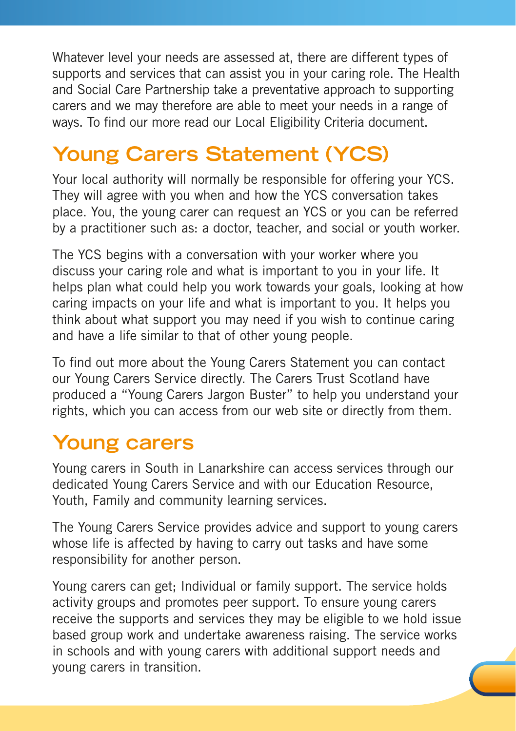Whatever level your needs are assessed at, there are different types of supports and services that can assist you in your caring role. The Health and Social Care Partnership take a preventative approach to supporting carers and we may therefore are able to meet your needs in a range of ways. To find our more read our Local Eligibility Criteria document.

# **Young Carers Statement (YCS)**

Your local authority will normally be responsible for offering your YCS. They will agree with you when and how the YCS conversation takes place. You, the young carer can request an YCS or you can be referred by a practitioner such as: a doctor, teacher, and social or youth worker.

The YCS begins with a conversation with your worker where you discuss your caring role and what is important to you in your life. It helps plan what could help you work towards your goals, looking at how caring impacts on your life and what is important to you. It helps you think about what support you may need if you wish to continue caring and have a life similar to that of other young people.

To find out more about the Young Carers Statement you can contact our Young Carers Service directly. The Carers Trust Scotland have produced a "Young Carers Jargon Buster" to help you understand your rights, which you can access from our web site or directly from them.

## **Young carers**

Young carers in South in Lanarkshire can access services through our dedicated Young Carers Service and with our Education Resource, Youth, Family and community learning services.

The Young Carers Service provides advice and support to young carers whose life is affected by having to carry out tasks and have some responsibility for another person.

Young carers can get; Individual or family support. The service holds activity groups and promotes peer support. To ensure young carers receive the supports and services they may be eligible to we hold issue based group work and undertake awareness raising. The service works in schools and with young carers with additional support needs and young carers in transition.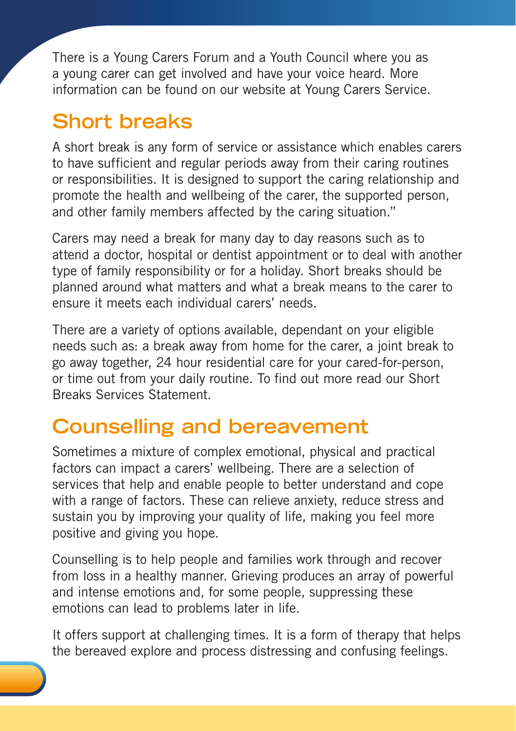There is a Young Carers Forum and a Youth Council where you as a young carer can get involved and have your voice heard. More information can be found on our website at Young Carers Service.

# **Short breaks**

A short break is any form of service or assistance which enables carers to have sufficient and regular periods away from their caring routines or responsibilities. It is designed to support the caring relationship and promote the health and wellbeing of the carer, the supported person, and other family members affected by the caring situation."

Carers may need a break for many day to day reasons such as to attend a doctor, hospital or dentist appointment or to deal with another type of family responsibility or for a holiday. Short breaks should be planned around what matters and what a break means to the carer to ensure it meets each individual carers' needs.

There are a variety of options available, dependant on your eligible needs such as: a break away from home for the carer, a joint break to go away together, 24 hour residential care for your cared-for-person, or time out from your daily routine. To find out more read our Short Breaks Services Statement.

## **Counselling and bereavement**

Sometimes a mixture of complex emotional, physical and practical factors can impact a carers' wellbeing. There are a selection of services that help and enable people to better understand and cope with a range of factors. These can relieve anxiety, reduce stress and sustain you by improving your quality of life, making you feel more positive and giving you hope.

Counselling is to help people and families work through and recover from loss in a healthy manner. Grieving produces an array of powerful and intense emotions and, for some people, suppressing these emotions can lead to problems later in life.

It offers support at challenging times. It is a form of therapy that helps the bereaved explore and process distressing and confusing feelings.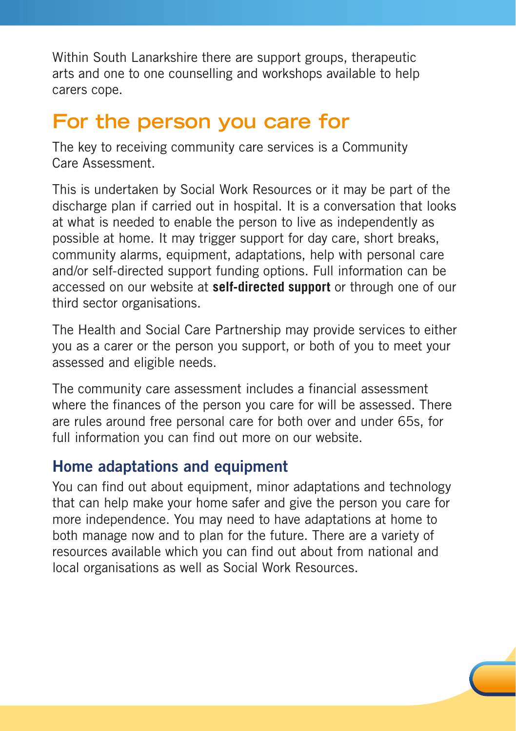Within South Lanarkshire there are support groups, therapeutic arts and one to one counselling and workshops available to help carers cope.

### **For the person you care for**

The key to receiving community care services is a Community Care Assessment.

This is undertaken by Social Work Resources or it may be part of the discharge plan if carried out in hospital. It is a conversation that looks at what is needed to enable the person to live as independently as possible at home. It may trigger support for day care, short breaks, community alarms, equipment, adaptations, help with personal care and/or self-directed support funding options. Full information can be accessed on our website at **self-directed support** or through one of our third sector organisations.

The Health and Social Care Partnership may provide services to either you as a carer or the person you support, or both of you to meet your assessed and eligible needs.

The community care assessment includes a financial assessment where the finances of the person you care for will be assessed. There are rules around free personal care for both over and under 65s, for full information you can find out more on our website.

#### Home adaptations and equipment

You can find out about equipment, minor adaptations and technology that can help make your home safer and give the person you care for more independence. You may need to have adaptations at home to both manage now and to plan for the future. There are a variety of resources available which you can find out about from national and local organisations as well as Social Work Resources.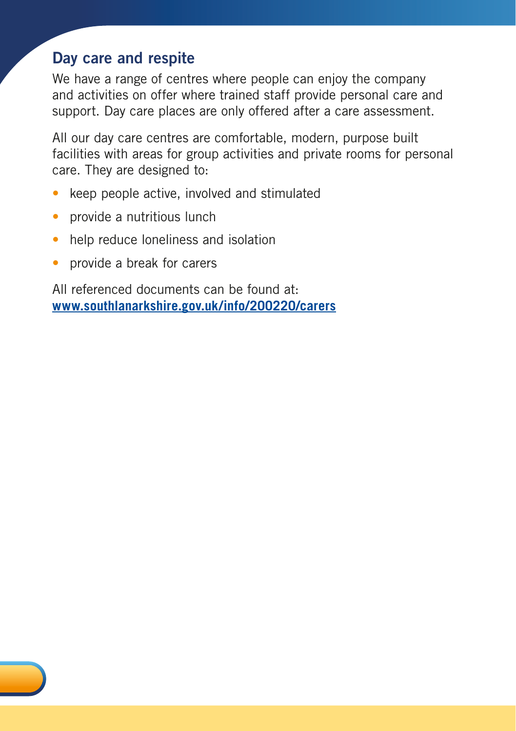### Day care and respite

We have a range of centres where people can enjoy the company and activities on offer where trained staff provide personal care and support. Day care places are only offered after a care assessment.

All our day care centres are comfortable, modern, purpose built facilities with areas for group activities and private rooms for personal care. They are designed to:

- keep people active, involved and stimulated
- provide a nutritious lunch
- help reduce loneliness and isolation
- provide a break for carers

All referenced documents can be found at: **[www.southlanarkshire.gov.uk/info/200220/carers](http://www.southlanarkshire.gov.uk/info/200220/carers)**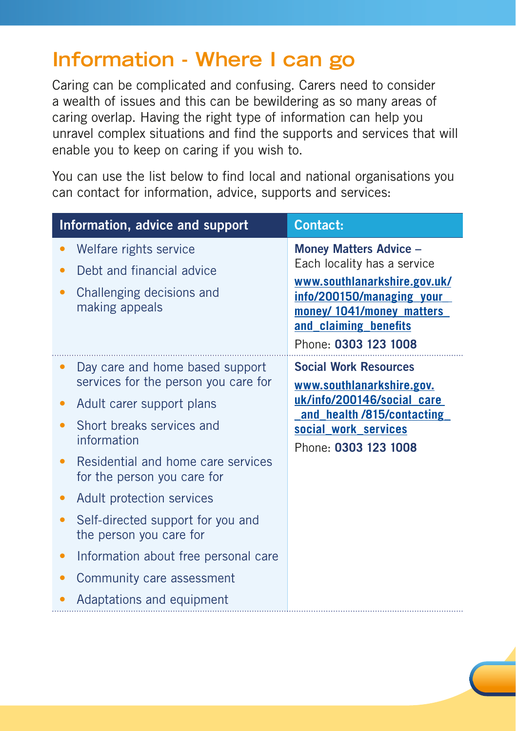## **Information - Where I can go**

Caring can be complicated and confusing. Carers need to consider a wealth of issues and this can be bewildering as so many areas of caring overlap. Having the right type of information can help you unravel complex situations and find the supports and services that will enable you to keep on caring if you wish to.

You can use the list below to find local and national organisations you can contact for information, advice, supports and services:

| Information, advice and support                                                                                                                                                                                                                                                                                                                                                                                      | <b>Contact:</b>                                                                                                                                                                                         |
|----------------------------------------------------------------------------------------------------------------------------------------------------------------------------------------------------------------------------------------------------------------------------------------------------------------------------------------------------------------------------------------------------------------------|---------------------------------------------------------------------------------------------------------------------------------------------------------------------------------------------------------|
| Welfare rights service<br>Debt and financial advice<br>Challenging decisions and<br>making appeals                                                                                                                                                                                                                                                                                                                   | <b>Money Matters Advice -</b><br>Each locality has a service<br>www.southlanarkshire.gov.uk/<br>info/200150/managing your<br>money/ 1041/money_matters<br>and claiming benefits<br>Phone: 0303 123 1008 |
| Day care and home based support<br>services for the person you care for<br>Adult carer support plans<br>Short breaks services and<br>information<br>Residential and home care services<br>for the person you care for<br>Adult protection services<br>Self-directed support for you and<br>the person you care for<br>Information about free personal care<br>Community care assessment<br>Adaptations and equipment | <b>Social Work Resources</b><br>www.southlanarkshire.gov.<br>uk/info/200146/social care<br>and health /815/contacting<br>social work services<br>Phone: 0303 123 1008                                   |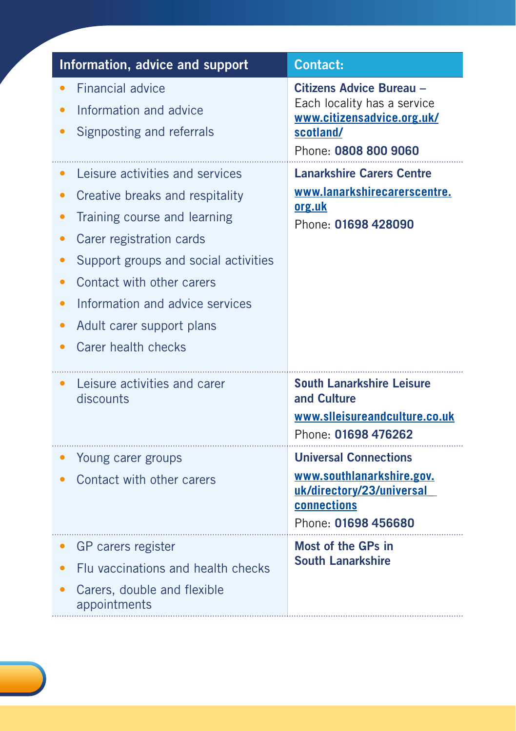| Information, advice and support                                                                                                                                                                                                                                                            | <b>Contact:</b>                                                                                                              |
|--------------------------------------------------------------------------------------------------------------------------------------------------------------------------------------------------------------------------------------------------------------------------------------------|------------------------------------------------------------------------------------------------------------------------------|
| <b>Financial advice</b><br>Information and advice<br>Signposting and referrals                                                                                                                                                                                                             | Citizens Advice Bureau -<br>Each locality has a service<br>www.citizensadvice.org.uk/<br>scotland/<br>Phone: 0808 800 9060   |
| Leisure activities and services<br>Creative breaks and respitality<br>Training course and learning<br>Carer registration cards<br>Support groups and social activities<br>Contact with other carers<br>Information and advice services<br>Adult carer support plans<br>Carer health checks | <b>Lanarkshire Carers Centre</b><br>www.lanarkshirecarerscentre.<br>org.uk<br>Phone: 01698 428090                            |
| Leisure activities and carer<br>discounts                                                                                                                                                                                                                                                  | <b>South Lanarkshire Leisure</b><br>and Culture<br>www.slleisureandculture.co.uk<br>Phone: 01698 476262                      |
| Young carer groups<br>Contact with other carers                                                                                                                                                                                                                                            | <b>Universal Connections</b><br>www.southlanarkshire.gov.<br>uk/directory/23/universal<br>connections<br>Phone: 01698 456680 |
| GP carers register<br>Flu vaccinations and health checks<br>Carers, double and flexible<br>appointments                                                                                                                                                                                    | Most of the GPs in<br><b>South Lanarkshire</b>                                                                               |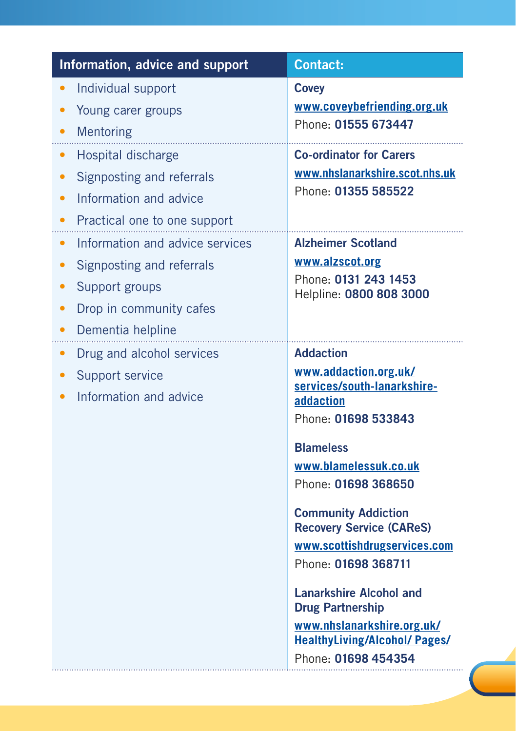| Information, advice and support                                                                                                                                                    | <b>Contact:</b>                                                                                                                                                                                                                                  |
|------------------------------------------------------------------------------------------------------------------------------------------------------------------------------------|--------------------------------------------------------------------------------------------------------------------------------------------------------------------------------------------------------------------------------------------------|
| Individual support<br>$\bullet$<br>Young carer groups<br>Mentoring<br>$\bullet$                                                                                                    | <b>Covey</b><br>www.coveybefriending.org.uk<br>Phone: 01555 673447                                                                                                                                                                               |
| Hospital discharge<br>$\bullet$<br>Signposting and referrals<br>Information and advice<br>$\bullet$<br>Practical one to one support<br>$\bullet$                                   | <b>Co-ordinator for Carers</b><br>www.nhslanarkshire.scot.nhs.uk<br>Phone: 01355 585522                                                                                                                                                          |
| Information and advice services<br>$\bullet$<br>Signposting and referrals<br>$\bullet$<br>Support groups<br>$\bullet$<br>Drop in community cafes<br>Dementia helpline<br>$\bullet$ | <b>Alzheimer Scotland</b><br>www.alzscot.org<br>Phone: 0131 243 1453<br>Helpline: 0800 808 3000                                                                                                                                                  |
| Drug and alcohol services<br>Support service<br>$\bullet$<br>Information and advice                                                                                                | <b>Addaction</b><br>www.addaction.org.uk/<br>services/south-lanarkshire-<br>addaction<br>Phone: 01698 533843<br><b>Blameless</b><br>www.blamelessuk.co.uk<br>Phone: 01698 368650<br><b>Community Addiction</b>                                   |
|                                                                                                                                                                                    | <b>Recovery Service (CAReS)</b><br>www.scottishdrugservices.com<br>Phone: 01698 368711<br><b>Lanarkshire Alcohol and</b><br><b>Drug Partnership</b><br>www.nhslanarkshire.org.uk/<br><b>HealthyLiving/Alcohol/ Pages/</b><br>Phone: 01698 454354 |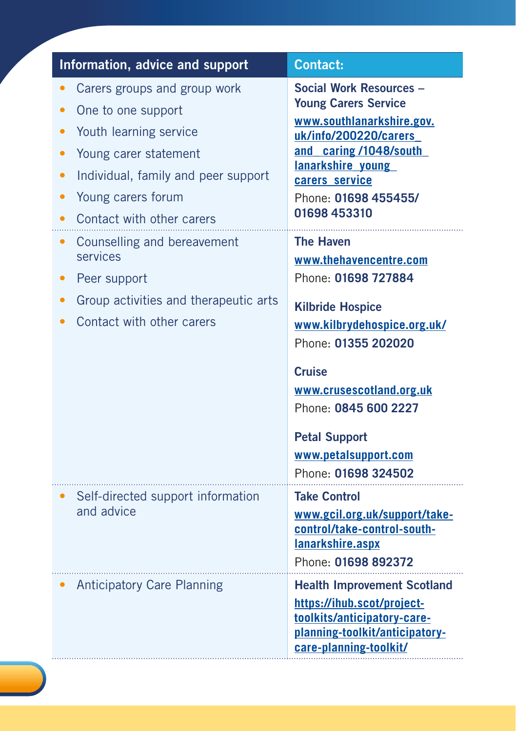| Information, advice and support                                                                                                                                                                                                                                                                     | <b>Contact:</b>                                                                                                                                                                                                                                                                                                             |
|-----------------------------------------------------------------------------------------------------------------------------------------------------------------------------------------------------------------------------------------------------------------------------------------------------|-----------------------------------------------------------------------------------------------------------------------------------------------------------------------------------------------------------------------------------------------------------------------------------------------------------------------------|
| Carers groups and group work<br>One to one support<br>Youth learning service<br>Young carer statement<br>Individual, family and peer support<br>Young carers forum<br>Contact with other carers<br>Counselling and bereavement<br>services<br>Peer support<br>Group activities and therapeutic arts | <b>Social Work Resources -</b><br><b>Young Carers Service</b><br>www.southlanarkshire.gov.<br>uk/info/200220/carers<br>and caring/1048/south<br>lanarkshire young<br>carers service<br>Phone: 01698 455455/<br>01698 453310<br><b>The Haven</b><br>www.thehavencentre.com<br>Phone: 01698 727884<br><b>Kilbride Hospice</b> |
| Contact with other carers                                                                                                                                                                                                                                                                           | www.kilbrydehospice.org.uk/<br>Phone: 01355 202020<br><b>Cruise</b><br>www.crusescotland.org.uk<br>Phone: 0845 600 2227<br><b>Petal Support</b><br>www.petalsupport.com<br>Phone: 01698 324502                                                                                                                              |
| Self-directed support information<br>and advice                                                                                                                                                                                                                                                     | <b>Take Control</b><br>www.gcil.org.uk/support/take-<br>control/take-control-south-<br>lanarkshire.aspx<br>Phone: 01698 892372                                                                                                                                                                                              |
| <b>Anticipatory Care Planning</b>                                                                                                                                                                                                                                                                   | <b>Health Improvement Scotland</b><br>https://ihub.scot/project-<br>toolkits/anticipatory-care-<br>planning-toolkit/anticipatory-<br>care-planning-toolkit/                                                                                                                                                                 |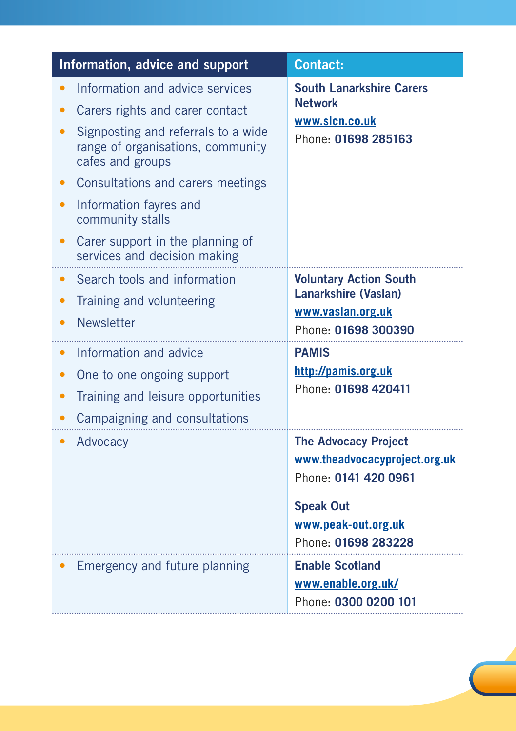| Information, advice and support                                                                                                                                                                                                                                                                                           | <b>Contact:</b>                                                                                                                                                        |
|---------------------------------------------------------------------------------------------------------------------------------------------------------------------------------------------------------------------------------------------------------------------------------------------------------------------------|------------------------------------------------------------------------------------------------------------------------------------------------------------------------|
| Information and advice services<br>Carers rights and carer contact<br>Signposting and referrals to a wide<br>range of organisations, community<br>cafes and groups<br>Consultations and carers meetings<br>Information fayres and<br>community stalls<br>Carer support in the planning of<br>services and decision making | <b>South Lanarkshire Carers</b><br><b>Network</b><br>www.slcn.co.uk<br>Phone: 01698 285163                                                                             |
| Search tools and information<br>$\bullet$<br>Training and volunteering<br>Newsletter<br>Information and advice<br>One to one ongoing support<br>Training and leisure opportunities<br>$\bullet$<br>Campaigning and consultations                                                                                          | <b>Voluntary Action South</b><br><b>Lanarkshire (Vaslan)</b><br>www.vaslan.org.uk<br>Phone: 01698 300390<br><b>PAMIS</b><br>http://pamis.org.uk<br>Phone: 01698 420411 |
| Advocacy                                                                                                                                                                                                                                                                                                                  | <b>The Advocacy Project</b><br>www.theadvocacyproject.org.uk<br>Phone: 0141 420 0961<br><b>Speak Out</b><br>www.peak-out.org.uk<br>Phone: 01698 283228                 |
| Emergency and future planning                                                                                                                                                                                                                                                                                             | <b>Enable Scotland</b><br>www.enable.org.uk/<br>Phone: 0300 0200 101                                                                                                   |

 $\overline{\phantom{0}}$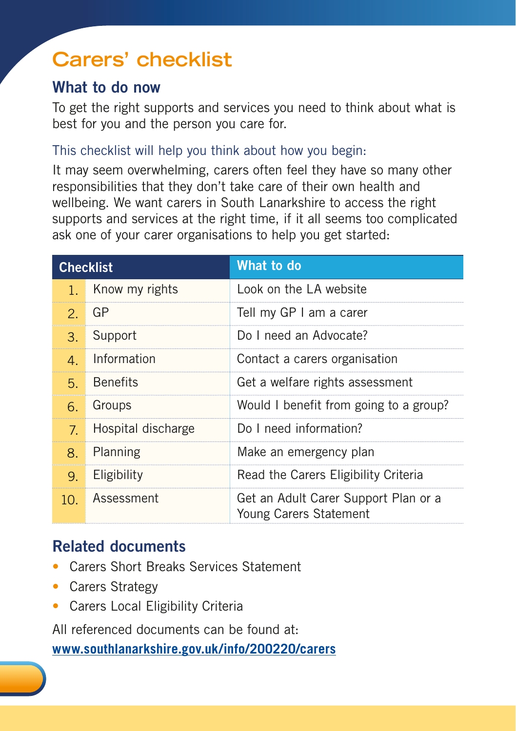# **Carers' checklist**

### What to do now

To get the right supports and services you need to think about what is best for you and the person you care for.

#### This checklist will help you think about how you begin:

It may seem overwhelming, carers often feel they have so many other responsibilities that they don't take care of their own health and wellbeing. We want carers in South Lanarkshire to access the right supports and services at the right time, if it all seems too complicated ask one of your carer organisations to help you get started:

|                            | <b>Checklist</b>   | What to do                                                     |
|----------------------------|--------------------|----------------------------------------------------------------|
| $1 -$                      | Know my rights     | Look on the LA website                                         |
|                            | $2.$ GP            | Tell my GP I am a carer                                        |
| $\mathcal{B}_{\mathbb{R}}$ | Support            | Do I need an Advocate?                                         |
| $\mathbf{4}$               | Information        | Contact a carers organisation                                  |
| 5.                         | <b>Benefits</b>    | Get a welfare rights assessment                                |
| 6.                         | Groups             | Would I benefit from going to a group?                         |
| 7 <sup>1</sup>             | Hospital discharge | Do I need information?                                         |
| 8 <sub>1</sub>             | Planning           | Make an emergency plan                                         |
| 9.                         | Eligibility        | Read the Carers Eligibility Criteria                           |
| 1ດ -                       | Assessment         | Get an Adult Carer Support Plan or a<br>Young Carers Statement |

### Related documents

- Carers Short Breaks Services Statement
- Carers Strategy
- Carers Local Eligibility Criteria

All referenced documents can be found at:

**[www.southlanarkshire.gov.uk/info/200220/carers](http://www.southlanarkshire.gov.uk/info/200220/carers)**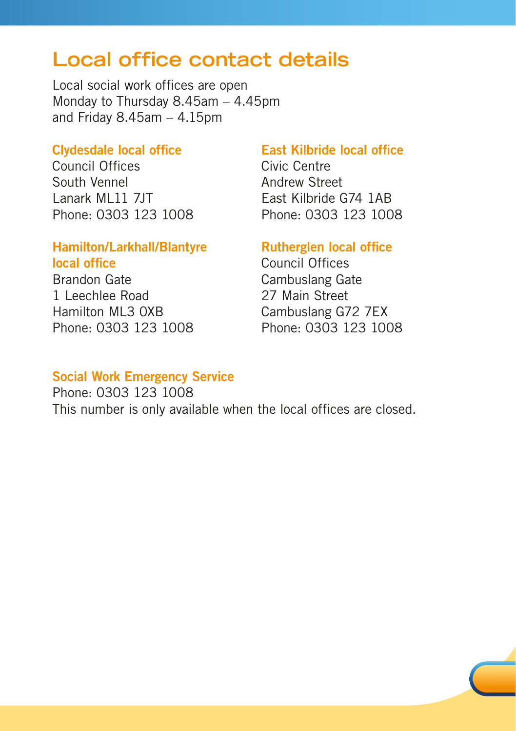### **Local office contact details**

Local social work offices are open Monday to Thursday 8.45am – 4.45pm and Friday  $8.45$ am  $-4.15$ pm

#### Clydesdale local office

Council Offices South Vennel Lanark ML11 7JT Phone: 0303 123 1008

#### Hamilton/Larkhall/Blantyre local office

Brandon Gate 1 Leechlee Road Hamilton ML3 0XB Phone: 0303 123 1008

#### East Kilbride local office

Civic Centre Andrew Street East Kilbride G74 1AB Phone: 0303 123 1008

#### Rutherglen local office

Council Offices Cambuslang Gate 27 Main Street Cambuslang G72 7EX Phone: 0303 123 1008

#### Social Work Emergency Service

Phone: 0303 123 1008 This number is only available when the local offices are closed.